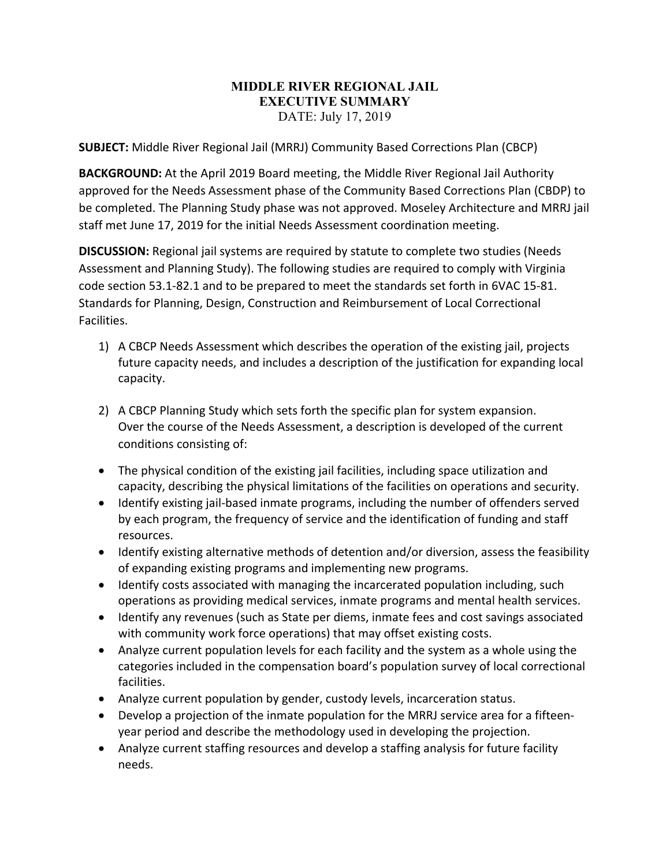## **MIDDLE RIVER REGIONAL JAIL EXECUTIVE SUMMARY**  DATE: July 17, 2019

**SUBJECT:** Middle River Regional Jail (MRRJ) Community Based Corrections Plan (CBCP)

**BACKGROUND:** At the April 2019 Board meeting, the Middle River Regional Jail Authority approved for the Needs Assessment phase of the Community Based Corrections Plan (CBDP) to be completed. The Planning Study phase was not approved. Moseley Architecture and MRRJ jail staff met June 17, 2019 for the initial Needs Assessment coordination meeting.

**DISCUSSION:** Regional jail systems are required by statute to complete two studies (Needs Assessment and Planning Study). The following studies are required to comply with Virginia code section 53.1‐82.1 and to be prepared to meet the standards set forth in 6VAC 15‐81. Standards for Planning, Design, Construction and Reimbursement of Local Correctional Facilities.

- 1) A CBCP Needs Assessment which describes the operation of the existing jail, projects future capacity needs, and includes a description of the justification for expanding local capacity.
- 2) A CBCP Planning Study which sets forth the specific plan for system expansion. Over the course of the Needs Assessment, a description is developed of the current conditions consisting of:
- The physical condition of the existing jail facilities, including space utilization and capacity, describing the physical limitations of the facilities on operations and security.
- Identify existing jail-based inmate programs, including the number of offenders served by each program, the frequency of service and the identification of funding and staff resources.
- Identify existing alternative methods of detention and/or diversion, assess the feasibility of expanding existing programs and implementing new programs.
- Identify costs associated with managing the incarcerated population including, such operations as providing medical services, inmate programs and mental health services.
- Identify any revenues (such as State per diems, inmate fees and cost savings associated with community work force operations) that may offset existing costs.
- Analyze current population levels for each facility and the system as a whole using the categories included in the compensation board's population survey of local correctional facilities.
- Analyze current population by gender, custody levels, incarceration status.
- Develop a projection of the inmate population for the MRRJ service area for a fifteenyear period and describe the methodology used in developing the projection.
- Analyze current staffing resources and develop a staffing analysis for future facility needs.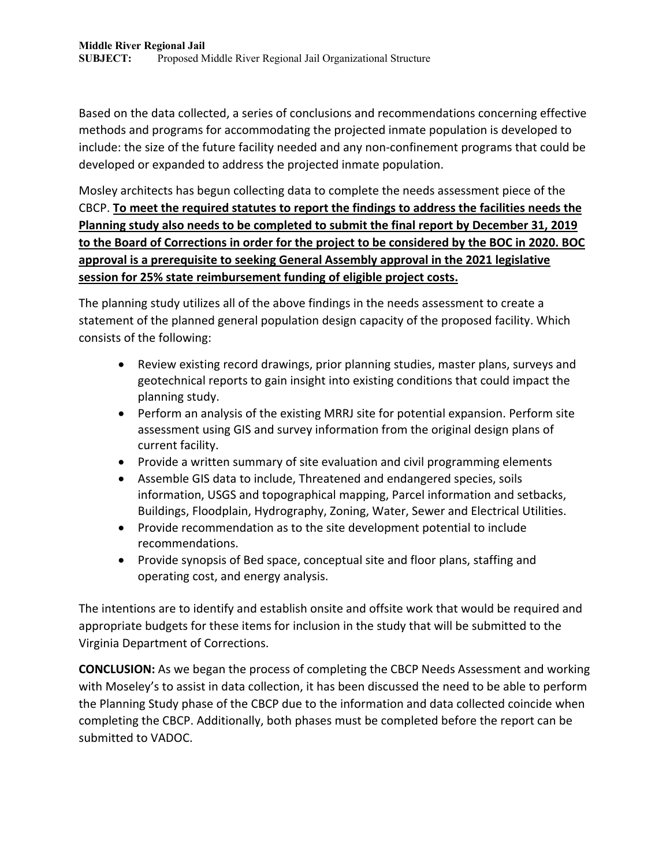Based on the data collected, a series of conclusions and recommendations concerning effective methods and programs for accommodating the projected inmate population is developed to include: the size of the future facility needed and any non‐confinement programs that could be developed or expanded to address the projected inmate population.

Mosley architects has begun collecting data to complete the needs assessment piece of the CBCP. **To meet the required statutes to report the findings to address the facilities needs the Planning study also needs to be completed to submit the final report by December 31, 2019** to the Board of Corrections in order for the project to be considered by the BOC in 2020. BOC **approval is a prerequisite to seeking General Assembly approval in the 2021 legislative session for 25% state reimbursement funding of eligible project costs.**

The planning study utilizes all of the above findings in the needs assessment to create a statement of the planned general population design capacity of the proposed facility. Which consists of the following:

- Review existing record drawings, prior planning studies, master plans, surveys and geotechnical reports to gain insight into existing conditions that could impact the planning study.
- Perform an analysis of the existing MRRJ site for potential expansion. Perform site assessment using GIS and survey information from the original design plans of current facility.
- Provide a written summary of site evaluation and civil programming elements
- Assemble GIS data to include, Threatened and endangered species, soils information, USGS and topographical mapping, Parcel information and setbacks, Buildings, Floodplain, Hydrography, Zoning, Water, Sewer and Electrical Utilities.
- Provide recommendation as to the site development potential to include recommendations.
- Provide synopsis of Bed space, conceptual site and floor plans, staffing and operating cost, and energy analysis.

The intentions are to identify and establish onsite and offsite work that would be required and appropriate budgets for these items for inclusion in the study that will be submitted to the Virginia Department of Corrections.

**CONCLUSION:** As we began the process of completing the CBCP Needs Assessment and working with Moseley's to assist in data collection, it has been discussed the need to be able to perform the Planning Study phase of the CBCP due to the information and data collected coincide when completing the CBCP. Additionally, both phases must be completed before the report can be submitted to VADOC.